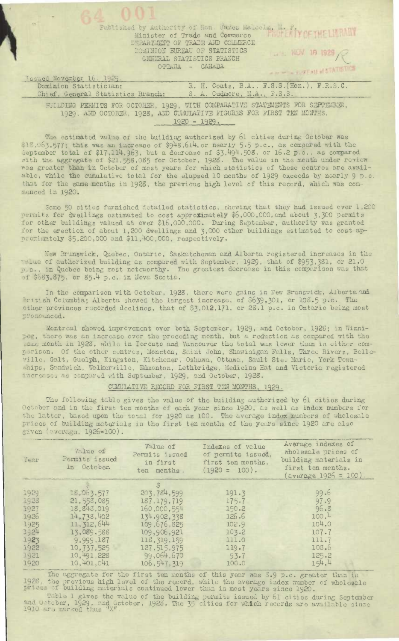Published by Authority of Hom. James Malcolm, M. P. WOFTHELMENTY DEPARTMENT OF TRADE AND COMMERCE DOMINION BUREAU OF STATISTICS **DELL NEW 18 1929** GENERAL STATISTICS BRANCH OTTAWA - CANADA

| Issued November 16, 1929.         |                                                                                                       |
|-----------------------------------|-------------------------------------------------------------------------------------------------------|
| Dominion Statistician:            | R. H. Coats, B.A., F.S.S. (Hon.), F.R.S.C.                                                            |
| Chief, General Statistics Branch: | S. A. Cudmore, M.A., F.S.S.                                                                           |
|                                   | סמלוס הוחסתי מחום אחותו והיו מיוחד מיוחד ממנוח המחום והמיוחד מהמוכחות מחום מחום והתמונות מויוחד הזדום |

1929, AND OCTOBER, 1928, AND CUMULATIVE FIGURES FOR FIRST TEN MONTHS,  $1920 - 1929.$ 

**WINTEAU & STATISTI** 

The estimated value of the building authorized by 61 cities during October was S18,063,577; this was an increase of \$948,614, or nearly 5.5 p.c., as compared with the<br>September total of \$17,114,963, but a decrease of \$3,494,508, or 16.2 p.c., as compared<br>with the aggregate of \$21,558,085 for October, was greater than in October of most years for which statistics of these centres are available, while the cumulative total for the elapsed 10 months of 1929 exceeds by nearly 9 p.c. that for the same months in 1928, the previous high level of this record, which was commenced in 1920.

Some 50 cities furnished detailed statistics, showing that they had issued over 1,200 permits for dwellings estimated to cost approximately \$6,000,000, and about 3,300 permits for other buildings valued at over \$16,000,000. During September, authority was granted for the erection of about 1,200 dwellings and 3,000 other buildings estimated to cost approximately \$5,200,000 and \$11,400,000, respectively.

New Brunswick, Quebec, Ontario, Saskatchowan and Alberta registered increases in the value of authorized building as compared with September, 1929, that of \$953,381, or 21.0 p.c., in Quebec being most noteworthy. The greatest decrease in this comparison was that of \$683,875, or 85.4 p.c. in Nova Scotia.

In the comparison with October, 1928, there were gains in New Brunswick, Alberta and British Columbia; Alberta showed the largest increase, of \$639,301, or 108.5 p.c. The other provinces recorded declines, that of  $$3,012,171$ , or 28.1 p.c. in Ontario being most pronounced.

Montreal showed improvement over both September, 1929, and October, 1928; in Winnipeg, there was an increase over the preceding month, but a reduction as compared with the same month in 1928, while in Toronto and Vancouver the total was lewer than in either comparison. Of the other centres, Moncton, Saint John, Shawinigan Falls, Three Rivers, Belleville, Galt, Guelph, Kingston, Kitchener, Oshawa, Ottawa, Sault Ste. Marie, York Town-ships, Sandwich, Walkerville, Edmonton, Lethbridge, Medicine Hat and Victoria registered increases as compared with September, 1929, and October, 1928.

## CUMULATIVE RECORD FOR FIRST TEN MONTHS, 1929.

The following table gives the value of the building authorized by 61 cities during October and in the first ten months of each year since 1920, as well as index numbers for the latter, based upon the total for 1920 as 100. The average index numbers of wholesale prices of building materials in the first ten months of the years since 1920 are also given (average, 1926=100).

| Year    | Value of<br>Permits issued<br>in October. | Value of<br>Permits issued<br>in first<br>ten months. | Indexes of value<br>of permits issued,<br>first ten months,<br>$(1920 = 100)$ . | Avarage indexes of<br>wholesale prices of<br>building materials in<br>first ten months.<br>$average 1926 = 100$ . |
|---------|-------------------------------------------|-------------------------------------------------------|---------------------------------------------------------------------------------|-------------------------------------------------------------------------------------------------------------------|
|         |                                           |                                                       |                                                                                 |                                                                                                                   |
| $-1929$ | 18,063,577                                | 203, 784, 599                                         | 191.3                                                                           | 99.6                                                                                                              |
| 1928    | 21,558,085                                | 187, 179, 719                                         | 175.7                                                                           | 97.9                                                                                                              |
| 1927    | 18,843,019                                | 160,000,554                                           | 150.2                                                                           | 96.8                                                                                                              |
| 1926    | 14,738,402                                | 134.902, 338                                          | 126.6                                                                           | 100.4                                                                                                             |
| 1925    | 11, 312, 644                              | 109, 676, 825                                         | 102.9                                                                           | 104.0                                                                                                             |
| 1924    | 13,089,588                                | 109,906,921                                           | 103.2                                                                           | 107.7                                                                                                             |
| 1923    | 9,999,187                                 | 118, 319, 159                                         | 111.0                                                                           | 111.7                                                                                                             |
| 1922    | 10,737,525                                | 127, 515, 975                                         | 119.7                                                                           | 103.6                                                                                                             |
| 1921    | 10, 491, 228                              | 99,064,670                                            | 93.7                                                                            | 125.2                                                                                                             |
| 1920    | 10,401,041                                | 106, 547, 319                                         | 100.0                                                                           | 154.4                                                                                                             |

The aggregate for the first ten months of this year was 3.9 p.c. greater than in 1926, the previous high level of the record, while the average index number of wholesale

Toble 1 gives the value of the building permits issued by 61 cities during September<br>and October, 1929, and October, 1928. The 35 cities for which records are available since<br>1910 are marked thus "X".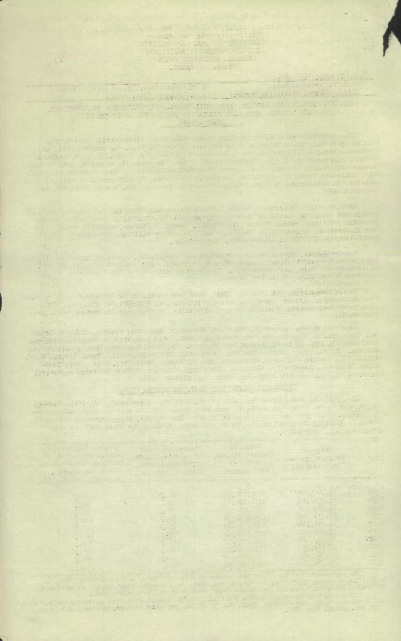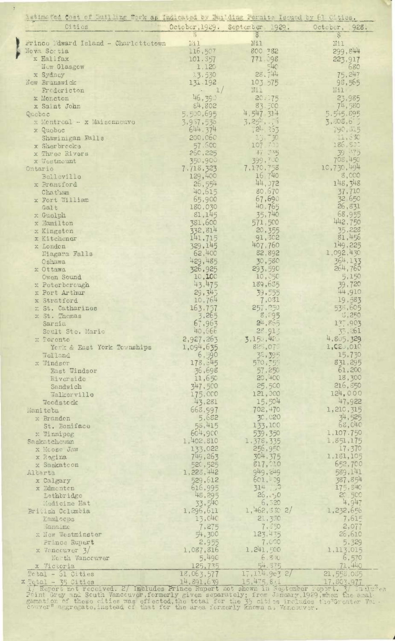| retter a Cost of Bullma, Work as Indicated by Building Fornite Issued by 61 0 ties. |                  |                                |                     |
|-------------------------------------------------------------------------------------|------------------|--------------------------------|---------------------|
| Cities                                                                              |                  | October, 1929. September 1929. | October, 928.       |
|                                                                                     | $\ddot{\phi}$    | \$                             | $\mathcal{F}$       |
| Princo Mard Island - Charlettetown                                                  | Li11             | Nil                            | Nil                 |
| Nova Scotia                                                                         | 116,507          | 800 782                        | 299,844             |
| x Halifax                                                                           | 101.357          | 771.098                        | 223,917             |
| New Glasgow                                                                         | 1,120            | 540                            | 680                 |
| x Sydney                                                                            | 13,530           | 28.744                         | 75,247              |
| Now Brunswick                                                                       | 131,192          | 103.575                        | 98,565              |
| Fredericton                                                                         |                  | Nil<br>20.175                  | II11                |
| x Moncton<br>x Saint John                                                           | 46,390<br>84,802 | 83.500                         | 23,985<br>74,580    |
| Quebec                                                                              | 5,500,695        | 4, 547, 314                    | 5,545,895           |
| x Montreal - x Maisenneuvo                                                          | 3,957,530        | 3,25                           | 3,505,6             |
| x Quoboc                                                                            | 644.374          | $72^{1}$ $353$                 | 790, 315            |
| Shawinigan Falls                                                                    | 200,060          | $13 - 30$                      | 11,050              |
| x Sherbrooke                                                                        | 57.500           | 733<br>107                     | 1.86,500            |
| x Three Rivers                                                                      | 26C, 225         | 47 335                         | 39.475              |
| x Vestmount                                                                         | 350,900          | 399,700                        | 708,450             |
| Ontario                                                                             | 7,718,323        | 7,170,758                      | 10,730,494          |
| Belleville                                                                          | 129,400          | 16.740                         | 8,000               |
| x Prantford                                                                         | 26,554           | 44, 372                        | 148, 348            |
| Chatham                                                                             | 40,615<br>65,900 | 80,670<br>67,690               | 37,710<br>32.650    |
| x Fort William<br>Galt                                                              | 180,030          | 40,765                         | 26,831              |
| x Guelph                                                                            | 81,145           | 35,740                         | 68,955              |
| x Hamilton                                                                          | 381,600          | 571,500                        | 442,750             |
| x Kingston                                                                          | 332,814          | 20, 355                        | 35,228              |
| x Kitchener                                                                         | 141,715          | 91,302                         | 81,456              |
| x London                                                                            | 329,145          | 407,760                        | 149,225             |
| Niagara Falls                                                                       | 62,400           | 82,892                         | 1,092,430           |
| Oshawa                                                                              | 429,485          | 30,580                         | 364, 133            |
| x Ottawa                                                                            | 326,925          | 293,590                        | 264,760             |
| Owen Sound                                                                          | 10.100           | 10,050                         | 5,150               |
| x Peterborough                                                                      | 43,475           | 189,655                        | 39,720              |
| x Port Arthur                                                                       | 29,345           | 39,555                         | 44,910              |
| x Stratford                                                                         | 10,764           | 7,031                          | 19,583              |
| x St. Catharines<br>x St. Themas                                                    | 163,757<br>3,265 | 257, 350<br>8,295              | 538,605<br>3,250    |
| Sarnia                                                                              | 67,963           | 24,855                         | 17,903              |
| Sault Ste. Marie                                                                    | 40,666           | 28.913                         | 33,261              |
| x Toronto                                                                           | 2,927,263        | 3.150, 42.                     | 4,805,329           |
| York & East York Townships                                                          | 1,094,635        | 825,07                         | 1, C20, 010         |
| <b>Welland</b>                                                                      | 6,390            | 32,395                         | 15,730              |
| x <i>Jindsor</i>                                                                    | 178,545          | 570, 555                       | 831,295             |
| East Windsor                                                                        | 36,698           | 57,250                         | 61,200              |
| Riverside                                                                           | 11,650           | 20, +00                        | 18,300              |
| Sandwich                                                                            | 347,500          | 25,500                         | 216,850             |
| Walkerville                                                                         | 175,000          | 121,000                        | 124,000             |
| Woodstock                                                                           | 43,281           | 15,504                         | 47,922              |
| Hanitcba                                                                            | 668,997          | 702, 470                       | 1,210,315<br>34,525 |
| x Brandon                                                                           | 5,682<br>58,415  | 30.020<br>133,100              | 68, C40             |
| St. Boniface<br>x Winnipeg                                                          | 604,900          | 539,350                        | 1,107.750           |
| Saskatchewan                                                                        | 1,402,810        | 1,378,335                      | 1,851,175           |
| x Moose Jaw                                                                         | 133,022          | 256,950                        | 17,370              |
| x Regina                                                                            | 749,263          | 304, 375                       | 1,181,105           |
| x Saskatcon                                                                         | 520,525          | 817,010                        | 652,700             |
| Albarta                                                                             | 1,223, 442       | 949, 249                       | 589,141             |
| x Calgary                                                                           | 529,612          | 601,109                        | 387,854             |
| x Edmonton                                                                          | 616,995          | 314.9                          | 175,840             |
| Lethbridge                                                                          | 48,295           | 26, 4, 0                       | <b>20 500</b>       |
| Hedicine Hat                                                                        | 33,540           | 6,320                          | 4,947               |
| British Columbia                                                                    | 1,296,611        | $1, +62, 3302$                 | 1,232,656           |
| Kamlocps                                                                            | 13,040           | 21,330                         | 7,615               |
| Janaimo<br>x New Westminster                                                        | 7,275            | 7,550<br>123,435               | 2,077<br>26,610     |
| Prince Rupert                                                                       | 54,300<br>2,955  | 7,000                          | 5,329               |
| x Vancouver 3/                                                                      | 1,087,816        | 1,241,500                      | 1,113,015           |
| North Vancouver                                                                     | 5,490            | 6,8.10                         | 6,570               |
| x Victoria                                                                          | 125,735          | 54.375                         | 71,440              |
| Total - 51 Cities                                                                   | 18,063,577       | 1, 1.14.9c72                   | 21,558,065          |
| $x$ Total - 35 Cities                                                               | 14.891.639       | 15,475.8.1                     | 17,803,977          |

 $\ddot{\phantom{a}}$ 

The Report not received. 2/ Includes Prince Rupert not shown in September report. 3/ Indicated Prince Rupert not shown in September report. 3/ Indicated Point Grey and Scuth Vancouver, formerly given separately; from Janua